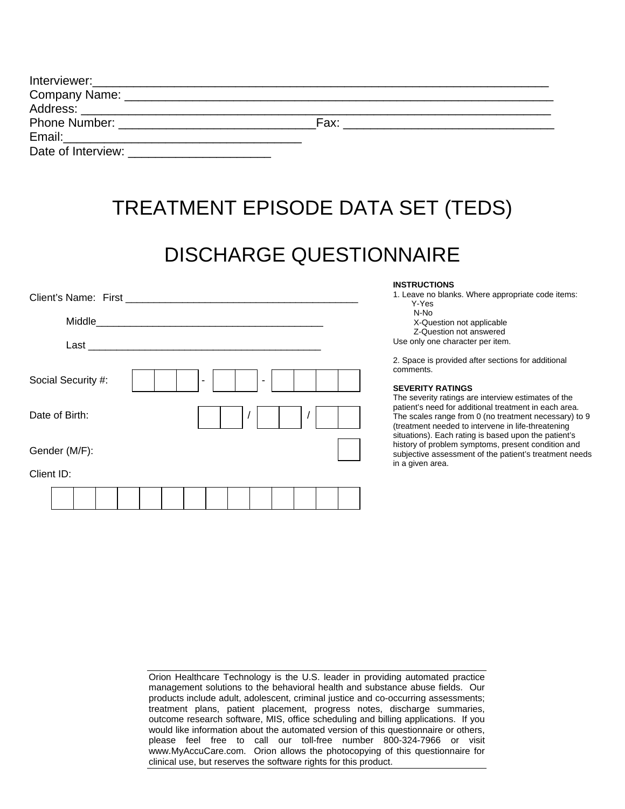| Phone Number: <u>_______________________</u> |  |
|----------------------------------------------|--|
|                                              |  |
|                                              |  |

## TREATMENT EPISODE DATA SET (TEDS)

## DISCHARGE QUESTIONNAIRE

|                                                              | <b>INSTRUCTIONS</b><br>1. Leave no blanks. Where appropriate code items:<br>Y-Yes                                                                                                                                            |
|--------------------------------------------------------------|------------------------------------------------------------------------------------------------------------------------------------------------------------------------------------------------------------------------------|
| Middle<br><u> 1980 - John Stone, Amerikaansk politiker (</u> | N-No<br>X-Question not applicable<br>Z-Question not answered                                                                                                                                                                 |
| Last                                                         | Use only one character per item.                                                                                                                                                                                             |
| Social Security #:                                           | 2. Space is provided after sections for additional<br>comments.<br><b>SEVERITY RATINGS</b><br>The severity ratings are interview estimates of the                                                                            |
| Date of Birth:                                               | patient's need for additional treatment in each area.<br>The scales range from 0 (no treatment necessary) to 9<br>(treatment needed to intervene in life-threatening<br>situations). Each rating is based upon the patient's |
| Gender (M/F):                                                | history of problem symptoms, present condition and<br>subjective assessment of the patient's treatment needs                                                                                                                 |
| Client ID:                                                   | in a given area.                                                                                                                                                                                                             |
|                                                              |                                                                                                                                                                                                                              |

Orion Healthcare Technology is the U.S. leader in providing automated practice management solutions to the behavioral health and substance abuse fields. Our products include adult, adolescent, criminal justice and co-occurring assessments; treatment plans, patient placement, progress notes, discharge summaries, outcome research software, MIS, office scheduling and billing applications. If you would like information about the automated version of this questionnaire or others, please feel free to call our toll-free number 800-324-7966 or visit www.MyAccuCare.com. Orion allows the photocopying of this questionnaire for clinical use, but reserves the software rights for this product.